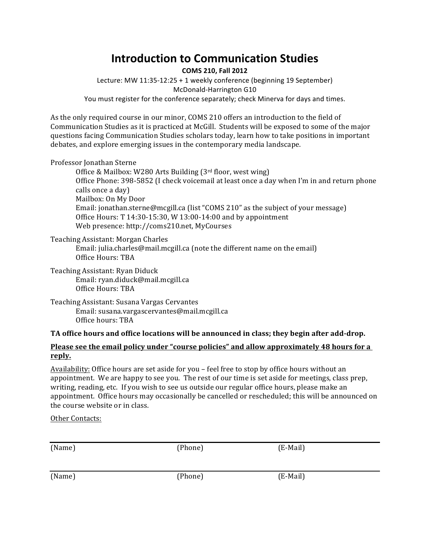# **Introduction to Communication Studies**

**COMS 210, Fall 2012**

Lecture: MW 11:35-12:25 + 1 weekly conference (beginning 19 September) McDonald-Harrington G10 You must register for the conference separately; check Minerva for days and times.

As the only required course in our minor, COMS 210 offers an introduction to the field of Communication Studies as it is practiced at McGill. Students will be exposed to some of the major questions facing Communication Studies scholars today, learn how to take positions in important debates, and explore emerging issues in the contemporary media landscape.

## Professor Jonathan Sterne

Office & Mailbox: W280 Arts Building  $(3<sup>rd</sup>$  floor, west wing) Office Phone: 398-5852 (I check voicemail at least once a day when I'm in and return phone calls once a day) Mailbox: On My Door Email: jonathan.sterne@mcgill.ca (list "COMS 210" as the subject of your message) Office Hours:  $T$  14:30-15:30, W 13:00-14:00 and by appointment Web presence: http://coms210.net, MyCourses

Teaching Assistant: Morgan Charles

Email: julia.charles@mail.mcgill.ca (note the different name on the email) Office Hours: TBA

Teaching Assistant: Ryan Diduck Email: ryan.diduck@mail.mcgill.ca Office Hours: TBA

Teaching Assistant: Susana Vargas Cervantes Email: susana.vargascervantes@mail.mcgill.ca Office hours: TBA

## TA office hours and office locations will be announced in class; they begin after add-drop.

## **Please see the email policy under "course policies" and allow approximately 48 hours for a reply.**

Availability: Office hours are set aside for you – feel free to stop by office hours without an appointment. We are happy to see you. The rest of our time is set aside for meetings, class prep, writing, reading, etc. If you wish to see us outside our regular office hours, please make an appointment. Office hours may occasionally be cancelled or rescheduled; this will be announced on the course website or in class.

Other Contacts:

| (Name) | (Phone) | $(E$ -Mail) |
|--------|---------|-------------|
| (Name) | (Phone) | $(E$ -Mail) |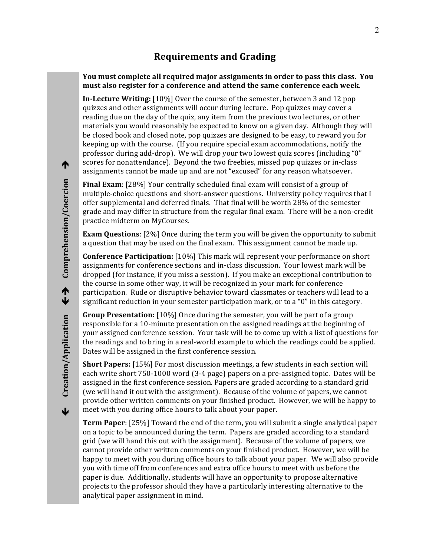## **Requirements and Grading**

#### **You must complete all required major assignments in order to pass this class. You** must also register for a conference and attend the same conference each week.

**In-Lecture Writing:** [10%] Over the course of the semester, between 3 and 12 pop quizzes and other assignments will occur during lecture. Pop quizzes may cover a reading due on the day of the quiz, any item from the previous two lectures, or other materials you would reasonably be expected to know on a given day. Although they will be closed book and closed note, pop quizzes are designed to be easy, to reward you for keeping up with the course. (If you require special exam accommodations, notify the professor during add-drop). We will drop your two lowest quiz scores (including "0" scores for nonattendance). Beyond the two freebies, missed pop quizzes or in-class assignments cannot be made up and are not "excused" for any reason whatsoever.

**Final Exam**: [28%] Your centrally scheduled final exam will consist of a group of multiple-choice questions and short-answer questions. University policy requires that I offer supplemental and deferred finals. That final will be worth 28% of the semester grade and may differ in structure from the regular final exam. There will be a non-credit practice midterm on MyCourses.

**Exam Questions**: [2%] Once during the term you will be given the opportunity to submit a question that may be used on the final exam. This assignment cannot be made up.

**Conference Participation:** [10%] This mark will represent your performance on short assignments for conference sections and in-class discussion. Your lowest mark will be dropped (for instance, if you miss a session). If you make an exceptional contribution to the course in some other way, it will be recognized in your mark for conference participation. Rude or disruptive behavior toward classmates or teachers will lead to a significant reduction in your semester participation mark, or to a "0" in this category.

**Group Presentation:** [10%] Once during the semester, you will be part of a group responsible for a 10-minute presentation on the assigned readings at the beginning of your assigned conference session. Your task will be to come up with a list of questions for the readings and to bring in a real-world example to which the readings could be applied. Dates will be assigned in the first conference session.

**Short Papers:** [15%] For most discussion meetings, a few students in each section will each write short 750-1000 word (3-4 page) papers on a pre-assigned topic. Dates will be assigned in the first conference session. Papers are graded according to a standard grid (we will hand it out with the assignment). Because of the volume of papers, we cannot provide other written comments on your finished product. However, we will be happy to meet with you during office hours to talk about your paper.

**Term Paper**: [25%] Toward the end of the term, you will submit a single analytical paper on a topic to be announced during the term. Papers are graded according to a standard grid (we will hand this out with the assignment). Because of the volume of papers, we cannot provide other written comments on your finished product. However, we will be happy to meet with you during office hours to talk about your paper. We will also provide you with time off from conferences and extra office hours to meet with us before the paper is due. Additionally, students will have an opportunity to propose alternative projects to the professor should they have a particularly interesting alternative to the analytical paper assignment in mind.

 $\overline{\mathbf{v}}$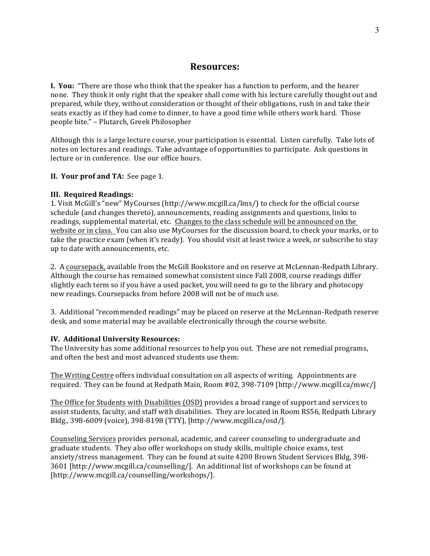## **Resources:**

**I. You:** "There are those who think that the speaker has a function to perform, and the hearer none. They think it only right that the speaker shall come with his lecture carefully thought out and prepared, while they, without consideration or thought of their obligations, rush in and take their seats exactly as if they had come to dinner, to have a good time while others work hard. Those people bite." - Plutarch, Greek Philosopher

Although this is a large lecture course, your participation is essential. Listen carefully. Take lots of notes on lectures and readings. Take advantage of opportunities to participate. Ask questions in lecture or in conference. Use our office hours.

#### **II. Your prof and TA:** See page 1.

#### **III. Required Readings:**

1. Visit McGill's "new" MyCourses (http://www.mcgill.ca/lms/) to check for the official course schedule (and changes thereto), announcements, reading assignments and questions, links to readings, supplemental material, etc. Changes to the class schedule will be announced on the website or in class. You can also use MyCourses for the discussion board, to check your marks, or to take the practice exam (when it's ready). You should visit at least twice a week, or subscribe to stay up to date with announcements, etc.

2. A coursepack, available from the McGill Bookstore and on reserve at McLennan-Redpath Library. Although the course has remained somewhat consistent since Fall 2008, course readings differ slightly each term so if you have a used packet, you will need to go to the library and photocopy new readings. Coursepacks from before 2008 will not be of much use.

3. Additional "recommended readings" may be placed on reserve at the McLennan-Redpath reserve desk, and some material may be available electronically through the course website.

#### **IV. Additional University Resources:**

The University has some additional resources to help you out. These are not remedial programs, and often the best and most advanced students use them:

The Writing Centre offers individual consultation on all aspects of writing. Appointments are required. They can be found at Redpath Main, Room #02, 398-7109 [http://www.mcgill.ca/mwc/]

The Office for Students with Disabilities (OSD) provides a broad range of support and services to assist students, faculty, and staff with disabilities. They are located in Room RS56, Redpath Library Bldg., 398-6009 (voice), 398-8198 (TTY), [http://www.mcgill.ca/osd/].

Counseling Services provides personal, academic, and career counseling to undergraduate and graduate students. They also offer workshops on study skills, multiple choice exams, test anxiety/stress management. They can be found at suite 4200 Brown Student Services Bldg, 398-3601 [http://www.mcgill.ca/counselling/]. An additional list of workshops can be found at [http://www.mcgill.ca/counselling/workshops/].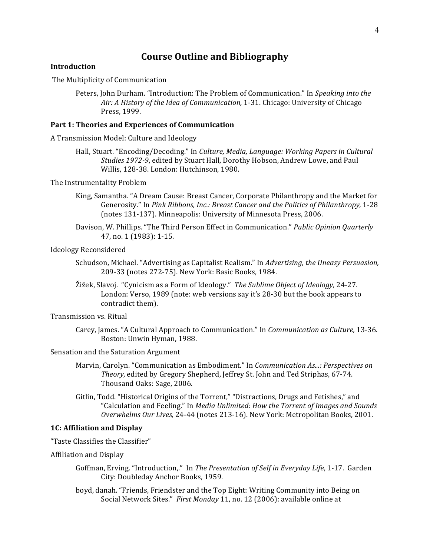## **Course Outline and Bibliography**

#### **Introduction**

The Multiplicity of Communication

Peters, John Durham. "Introduction: The Problem of Communication." In *Speaking into the* Air: A History of the Idea of Communication, 1-31. Chicago: University of Chicago Press, 1999.

#### Part 1: Theories and Experiences of Communication

A Transmission Model: Culture and Ideology

Hall, Stuart. "Encoding/Decoding." In *Culture, Media, Language: Working Papers in Cultural Studies* 1972-9, edited by Stuart Hall, Dorothy Hobson, Andrew Lowe, and Paul Willis, 128-38. London: Hutchinson, 1980.

The Instrumentality Problem

- King, Samantha. "A Dream Cause: Breast Cancer, Corporate Philanthropy and the Market for Generosity." In Pink Ribbons, Inc.: Breast Cancer and the Politics of Philanthropy, 1-28 (notes 131-137). Minneapolis: University of Minnesota Press, 2006.
- Davison, W. Phillips. "The Third Person Effect in Communication." *Public Opinion Quarterly* 47, no. 1 (1983): 1-15.

Ideology Reconsidered

- Schudson, Michael. "Advertising as Capitalist Realism." In *Advertising, the Uneasy Persuasion,* 209-33 (notes 272-75). New York: Basic Books, 1984.
- Žižek, Slavoj. "Cynicism as a Form of Ideology." *The Sublime Object of Ideology*, 24-27. London: Verso, 1989 (note: web versions say it's 28-30 but the book appears to contradict them).

Transmission vs. Ritual

Carey, James. "A Cultural Approach to Communication." In *Communication as Culture*, 13-36. Boston: Unwin Hyman, 1988.

Sensation and the Saturation Argument

- Marvin, Carolyn. "Communication as Embodiment." In *Communication As...: Perspectives on Theory*, edited by Gregory Shepherd, Jeffrey St. John and Ted Striphas, 67-74. Thousand Oaks: Sage, 2006.
- Gitlin, Todd. "Historical Origins of the Torrent," "Distractions, Drugs and Fetishes," and "Calculation and Feeling." In *Media Unlimited: How the Torrent of Images and Sounds Overwhelms Our Lives,* 24-44 (notes 213-16). New York: Metropolitan Books, 2001.

#### **1C: Affiliation and Display**

"Taste Classifies the Classifier"

Affiliation and Display

- Goffman, Erving. "Introduction.." In *The Presentation of Self in Everyday Life*, 1-17. Garden City: Doubleday Anchor Books, 1959.
- boyd, danah. "Friends, Friendster and the Top Eight: Writing Community into Being on Social Network Sites." First Monday 11, no. 12 (2006): available online at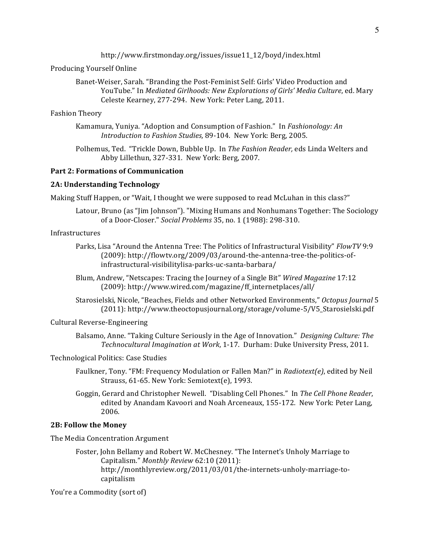http://www.firstmonday.org/issues/issue11\_12/boyd/index.html

#### Producing Yourself Online

Banet-Weiser, Sarah. "Branding the Post-Feminist Self: Girls' Video Production and YouTube." In *Mediated Girlhoods: New Explorations of Girls' Media Culture*, ed. Mary Celeste Kearney, 277-294. New York: Peter Lang, 2011.

#### Fashion Theory

Kamamura, Yuniya. "Adoption and Consumption of Fashion." In *Fashionology: An Introduction to Fashion Studies, 89-104. New York: Berg, 2005.* 

Polhemus, Ted. "Trickle Down, Bubble Up. In *The Fashion Reader*, eds Linda Welters and Abby Lillethun, 327-331. New York: Berg, 2007.

#### **Part 2: Formations of Communication**

#### **2A: Understanding Technology**

Making Stuff Happen, or "Wait, I thought we were supposed to read McLuhan in this class?"

Latour, Bruno (as "Jim Johnson"). "Mixing Humans and Nonhumans Together: The Sociology of a Door-Closer." *Social Problems* 35, no. 1 (1988): 298-310.

#### Infrastructures

- Parks, Lisa "Around the Antenna Tree: The Politics of Infrastructural Visibility" *FlowTV* 9:9 (2009): http://flowtv.org/2009/03/around-the-antenna-tree-the-politics-ofinfrastructural-visibilitylisa-parks-uc-santa-barbara/
- Blum, Andrew, "Netscapes: Tracing the Journey of a Single Bit" Wired Magazine 17:12 (2009): http://www.wired.com/magazine/ff\_internetplaces/all/

Starosielski, Nicole, "Beaches, Fields and other Networked Environments," Octopus Journal 5 (2011): http://www.theoctopusjournal.org/storage/volume-5/V5\_Starosielski.pdf

#### Cultural Reverse-Engineering

Balsamo, Anne. "Taking Culture Seriously in the Age of Innovation." *Designing Culture: The* Technocultural Imagination at Work, 1-17. Durham: Duke University Press, 2011.

Technological Politics: Case Studies

- Faulkner, Tony. "FM: Frequency Modulation or Fallen Man?" in *Radiotext(e)*, edited by Neil Strauss, 61-65. New York: Semiotext(e), 1993.
- Goggin, Gerard and Christopher Newell. "Disabling Cell Phones." In The Cell Phone Reader, edited by Anandam Kavoori and Noah Arceneaux, 155-172. New York: Peter Lang, 2006.

#### **2B: Follow the Money**

The Media Concentration Argument

Foster, John Bellamy and Robert W. McChesney. "The Internet's Unholy Marriage to Capitalism." Monthly Review 62:10 (2011): http://monthlyreview.org/2011/03/01/the-internets-unholy-marriage-tocapitalism

You're a Commodity (sort of)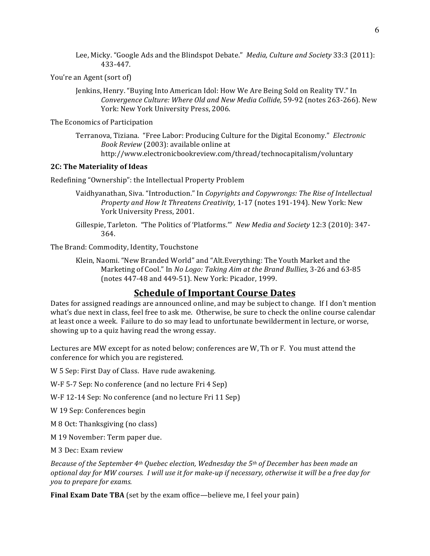Lee, Micky. "Google Ads and the Blindspot Debate." *Media, Culture and Society* 33:3 (2011): 433-447.

You're an Agent (sort of)

Jenkins, Henry. "Buying Into American Idol: How We Are Being Sold on Reality TV." In *Convergence Culture: Where Old and New Media Collide,* 59-92 (notes 263-266). New York: New York University Press, 2006.

The Economics of Participation

Terranova, Tiziana. "Free Labor: Producing Culture for the Digital Economy." *Electronic Book Review* (2003): available online at http://www.electronicbookreview.com/thread/technocapitalism/voluntary

#### **2C: The Materiality of Ideas**

Redefining "Ownership": the Intellectual Property Problem

- Vaidhyanathan, Siva. "Introduction." In *Copyrights and Copywrongs: The Rise of Intellectual Property and How It Threatens Creativity,* 1-17 (notes 191-194). New York: New York University Press, 2001.
- Gillespie, Tarleton. "The Politics of 'Platforms." New Media and Society 12:3 (2010): 347-364.

The Brand: Commodity, Identity, Touchstone

Klein, Naomi. "New Branded World" and "Alt.Everything: The Youth Market and the Marketing of Cool." In *No Logo: Taking Aim at the Brand Bullies*, 3-26 and 63-85 (notes 447-48 and 449-51). New York: Picador, 1999.

## **Schedule of Important Course Dates**

Dates for assigned readings are announced online, and may be subject to change. If I don't mention what's due next in class, feel free to ask me. Otherwise, be sure to check the online course calendar at least once a week. Failure to do so may lead to unfortunate bewilderment in lecture, or worse, showing up to a quiz having read the wrong essay.

Lectures are MW except for as noted below; conferences are W, Th or F. You must attend the conference for which you are registered.

W 5 Sep: First Day of Class. Have rude awakening.

W-F 5-7 Sep: No conference (and no lecture Fri 4 Sep)

W-F 12-14 Sep: No conference (and no lecture Fri 11 Sep)

W 19 Sep: Conferences begin

M 8 Oct: Thanksgiving (no class)

M 19 November: Term paper due.

M 3 Dec: Exam review

*Because of the September 4th Quebec election, Wednesday the 5th of December has been made an optional day for MW courses. I will use it for make-up if necessary, otherwise it will be a free day for you to prepare for exams.*

**Final Exam Date TBA** (set by the exam office—believe me, I feel your pain)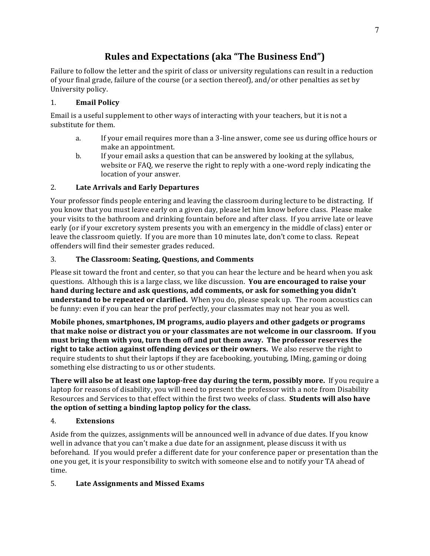## **Rules and Expectations (aka "The Business End")**

Failure to follow the letter and the spirit of class or university regulations can result in a reduction of your final grade, failure of the course (or a section thereof), and/or other penalties as set by University policy.

## 1. **Email Policy**

Email is a useful supplement to other ways of interacting with your teachers, but it is not a substitute for them.

- a. If your email requires more than a 3-line answer, come see us during office hours or make an appointment.
- b. If your email asks a question that can be answered by looking at the syllabus, website or FAQ, we reserve the right to reply with a one-word reply indicating the location of your answer.

## 2. **Late Arrivals and Early Departures**

Your professor finds people entering and leaving the classroom during lecture to be distracting. If you know that you must leave early on a given day, please let him know before class. Please make your visits to the bathroom and drinking fountain before and after class. If you arrive late or leave early (or if your excretory system presents you with an emergency in the middle of class) enter or leave the classroom quietly. If you are more than 10 minutes late, don't come to class. Repeat offenders will find their semester grades reduced.

## 3. **The Classroom: Seating, Questions, and Comments**

Please sit toward the front and center, so that you can hear the lecture and be heard when you ask questions. Although this is a large class, we like discussion. You are encouraged to raise your hand during lecture and ask questions, add comments, or ask for something you didn't **understand to be repeated or clarified.** When you do, please speak up. The room acoustics can be funny: even if you can hear the prof perfectly, your classmates may not hear you as well.

**Mobile phones, smartphones, IM programs, audio players and other gadgets or programs that make noise or distract you or your classmates are not welcome in our classroom. If you** must bring them with you, turn them off and put them away. The professor reserves the **right to take action against offending devices or their owners.** We also reserve the right to require students to shut their laptops if they are facebooking, youtubing, IMing, gaming or doing something else distracting to us or other students.

**There will also be at least one laptop-free day during the term, possibly more.** If you require a laptop for reasons of disability, you will need to present the professor with a note from Disability Resources and Services to that effect within the first two weeks of class. **Students will also have** the option of setting a binding laptop policy for the class.

## 4. **Extensions**

Aside from the quizzes, assignments will be announced well in advance of due dates. If you know well in advance that you can't make a due date for an assignment, please discuss it with us beforehand. If you would prefer a different date for your conference paper or presentation than the one you get, it is your responsibility to switch with someone else and to notify your TA ahead of time.

## 5. Late Assignments and Missed Exams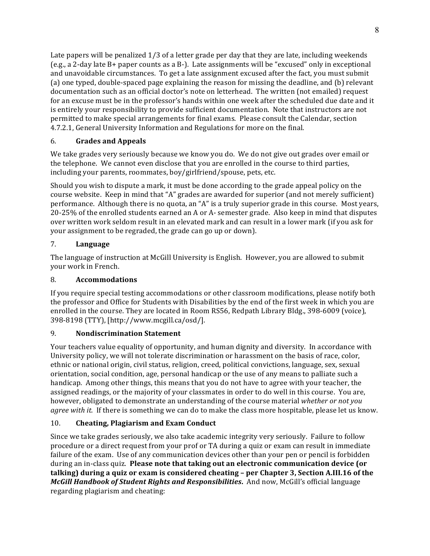Late papers will be penalized  $1/3$  of a letter grade per day that they are late, including weekends (e.g., a 2-day late  $B+$  paper counts as a  $B-$ ). Late assignments will be "excused" only in exceptional and unavoidable circumstances. To get a late assignment excused after the fact, you must submit (a) one typed, double-spaced page explaining the reason for missing the deadline, and (b) relevant documentation such as an official doctor's note on letterhead. The written (not emailed) request for an excuse must be in the professor's hands within one week after the scheduled due date and it is entirely your responsibility to provide sufficient documentation. Note that instructors are not permitted to make special arrangements for final exams. Please consult the Calendar, section 4.7.2.1, General University Information and Regulations for more on the final.

## 6. **Grades and Appeals**

We take grades very seriously because we know you do. We do not give out grades over email or the telephone. We cannot even disclose that you are enrolled in the course to third parties, including your parents, roommates, boy/girlfriend/spouse, pets, etc.

Should you wish to dispute a mark, it must be done according to the grade appeal policy on the course website. Keep in mind that "A" grades are awarded for superior (and not merely sufficient) performance. Although there is no quota, an "A" is a truly superior grade in this course. Most years,  $20-25%$  of the enrolled students earned an A or A- semester grade. Also keep in mind that disputes over written work seldom result in an elevated mark and can result in a lower mark (if you ask for your assignment to be regraded, the grade can go up or down).

## 7. **Language**

The language of instruction at McGill University is English. However, you are allowed to submit your work in French.

## 8. **Accommodations**

If you require special testing accommodations or other classroom modifications, please notify both the professor and Office for Students with Disabilities by the end of the first week in which you are enrolled in the course. They are located in Room RS56, Redpath Library Bldg., 398-6009 (voice), 398-8198 (TTY), [http://www.mcgill.ca/osd/].

## 9. **Nondiscrimination Statement**

Your teachers value equality of opportunity, and human dignity and diversity. In accordance with University policy, we will not tolerate discrimination or harassment on the basis of race, color, ethnic or national origin, civil status, religion, creed, political convictions, language, sex, sexual orientation, social condition, age, personal handicap or the use of any means to palliate such a handicap. Among other things, this means that you do not have to agree with your teacher, the assigned readings, or the majority of your classmates in order to do well in this course. You are, however, obligated to demonstrate an understanding of the course material *whether or not you agree* with it. If there is something we can do to make the class more hospitable, please let us know.

## 10. Cheating, Plagiarism and Exam Conduct

Since we take grades seriously, we also take academic integrity very seriously. Failure to follow procedure or a direct request from your prof or TA during a quiz or exam can result in immediate failure of the exam. Use of any communication devices other than your pen or pencil is forbidden during an in-class quiz. Please note that taking out an electronic communication device (or **talking)** during a quiz or exam is considered cheating – per Chapter 3, Section A.III.16 of the *McGill Handbook of Student Rights and Responsibilities*. And now, McGill's official language regarding plagiarism and cheating: